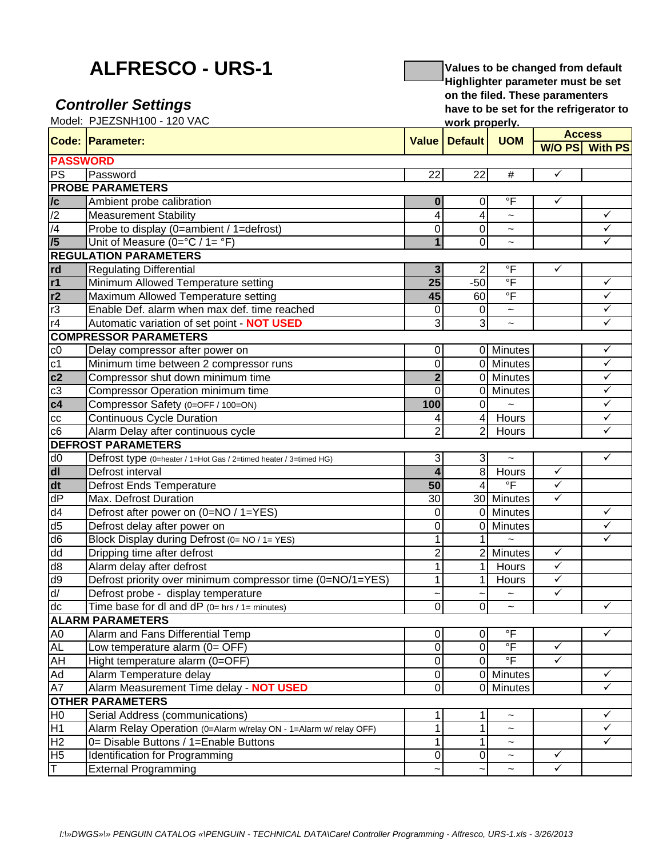## **ALFRESCO - URS-1**

## *Controller Settings*

**Values to be changed from default Highlighter parameter must be set on the filed. These paramenters have to be set for the refrigerator to work properly.**

|                         | Model: PJEZSNH100 - 120 VAC                                       | work properly.          |                 |                        |               |                         |
|-------------------------|-------------------------------------------------------------------|-------------------------|-----------------|------------------------|---------------|-------------------------|
|                         | <b>Code: Parameter:</b>                                           | <b>Value</b>            | <b>Default</b>  | <b>UOM</b>             | <b>Access</b> |                         |
|                         |                                                                   |                         |                 |                        |               | W/O PS With PS          |
| <b>PASSWORD</b>         |                                                                   |                         |                 |                        |               |                         |
| <b>PS</b>               | Password                                                          | 22                      | $\overline{22}$ | $\#$                   | $\checkmark$  |                         |
|                         | <b>PROBE PARAMETERS</b>                                           |                         |                 |                        |               |                         |
| $\overline{c}$          | Ambient probe calibration                                         | $\bf{0}$                | 0               | $\overline{F}$         | $\checkmark$  |                         |
| $\overline{2}$          | <b>Measurement Stability</b>                                      | 4                       | $\overline{4}$  | $\tilde{}$             |               | $\checkmark$            |
| $\overline{4}$          | Probe to display (0=ambient / 1=defrost)                          | 0                       | 0               | $\tilde{\phantom{a}}$  |               | $\checkmark$            |
| /5                      | Unit of Measure ( $0 = ^{\circ}C / 1 = ^{\circ}F$ )               | $\mathbf{1}$            | 0               | $\tilde{}$             |               | ✓                       |
|                         | <b>REGULATION PARAMETERS</b>                                      |                         |                 |                        |               |                         |
| rd                      | <b>Regulating Differential</b>                                    | $\mathbf{3}$            | $\overline{2}$  | $\mathsf{P}$           | ✓             |                         |
| r1                      | Minimum Allowed Temperature setting                               | $\overline{25}$         | $-50$           | $\overline{\ }$        |               | $\checkmark$            |
| r2                      | Maximum Allowed Temperature setting                               | 45                      | 60              | $\overline{\ }$        |               | $\checkmark$            |
| r3                      | Enable Def. alarm when max def. time reached                      | 0                       | 0               | $\tilde{}$             |               | ✓                       |
| r4                      | Automatic variation of set point - NOT USED                       | 3                       | 3               | $\tilde{}$             |               | ✓                       |
|                         | <b>COMPRESSOR PARAMETERS</b>                                      |                         |                 |                        |               |                         |
| ${\rm c}0$              | Delay compressor after power on                                   | $\pmb{0}$               |                 | 0 Minutes              |               | $\checkmark$            |
| c1                      | Minimum time between 2 compressor runs                            | $\overline{0}$          |                 | 0 Minutes              |               | $\checkmark$            |
| c2                      | Compressor shut down minimum time                                 | $\overline{2}$          |                 | $\overline{0}$ Minutes |               | $\checkmark$            |
| c3                      | Compressor Operation minimum time                                 | $\mathbf 0$             |                 | 0 Minutes              |               | $\checkmark$            |
| c4                      | Compressor Safety (0=OFF / 100=ON)                                | 100                     | $\overline{0}$  |                        |               | ✓                       |
| cc                      | Continuous Cycle Duration                                         |                         | $\overline{4}$  | Hours                  |               | $\checkmark$            |
| c6                      | Alarm Delay after continuous cycle                                | 2                       | 2               | <b>Hours</b>           |               | ✓                       |
|                         | <b>DEFROST PARAMETERS</b>                                         |                         |                 |                        |               |                         |
| d0                      | Defrost type (0=heater / 1=Hot Gas / 2=timed heater / 3=timed HG) | 3                       | 3 <sup>1</sup>  |                        |               | $\checkmark$            |
| $\overline{d}$          | Defrost interval                                                  | $\overline{\mathbf{4}}$ | 8 <sup>1</sup>  | <b>Hours</b>           | $\checkmark$  |                         |
| dt                      | <b>Defrost Ends Temperature</b>                                   | 50                      | $\overline{4}$  | $\overline{F}$         | $\checkmark$  |                         |
| $\overline{dP}$         | Max. Defrost Duration                                             | $\overline{30}$         |                 | 30 Minutes             | $\checkmark$  |                         |
| d4                      | Defrost after power on (0=NO / 1=YES)                             | $\mathbf 0$             |                 | 0 Minutes              |               | ✓                       |
| d <sub>5</sub>          | Defrost delay after power on                                      | $\mathbf 0$             |                 | 0 Minutes              |               | $\checkmark$            |
| d <sub>6</sub>          | Block Display during Defrost (0= NO / 1= YES)                     | 1                       | $\mathbf 1$     |                        |               | $\overline{\checkmark}$ |
| dd                      | Dripping time after defrost                                       | $\overline{2}$          |                 | 2 Minutes              | $\checkmark$  |                         |
| d8                      | Alarm delay after defrost                                         | 1                       | 1               | Hours                  | $\checkmark$  |                         |
| d9                      | Defrost priority over minimum compressor time (0=NO/1=YES)        | 1                       | 1               | Hours                  | $\checkmark$  |                         |
| $\overline{d}$          | Defrost probe - display temperature                               |                         | $\tilde{}$      | $\tilde{\phantom{a}}$  | $\checkmark$  |                         |
| dc                      | Time base for dl and $dP$ (0= hrs / 1= minutes)                   | $\overline{0}$          | $\overline{0}$  | $\tilde{\phantom{a}}$  |               | ✓                       |
|                         | <b>ALARM PARAMETERS</b>                                           |                         |                 |                        |               |                         |
| A0                      | Alarm and Fans Differential Temp                                  | 0                       | 0               | $\circ$ F              |               | ✓                       |
| AL                      | Low temperature alarm (0= OFF)                                    | 0                       | 0               | $\overline{\ }$        | $\checkmark$  |                         |
| AH                      | Hight temperature alarm (0=OFF)                                   | $\pmb{0}$               | $\mathbf 0$     | $\overline{F}$         | ✓             |                         |
| Ad                      | Alarm Temperature delay                                           | $\overline{0}$          |                 | $\overline{0}$ Minutes |               | $\checkmark$            |
| A7                      | Alarm Measurement Time delay - NOT USED                           | $\overline{0}$          |                 | 0 Minutes              |               | $\checkmark$            |
|                         | <b>OTHER PARAMETERS</b>                                           |                         |                 |                        |               |                         |
| H <sub>0</sub>          | Serial Address (communications)                                   | 1                       | 1               | $\tilde{\phantom{a}}$  |               | $\checkmark$            |
| H1                      | Alarm Relay Operation (0=Alarm w/relay ON - 1=Alarm w/ relay OFF) | 1                       | 1               | $\tilde{\phantom{a}}$  |               | ✓                       |
| H <sub>2</sub>          | 0= Disable Buttons / 1=Enable Buttons                             | 1                       | 1               | $\tilde{}$             |               | ✓                       |
| H <sub>5</sub>          | Identification for Programming                                    | $\pmb{0}$               | $\pmb{0}$       | $\tilde{\phantom{a}}$  | $\checkmark$  |                         |
| $\overline{\mathsf{T}}$ | <b>External Programming</b>                                       |                         |                 |                        | $\checkmark$  |                         |